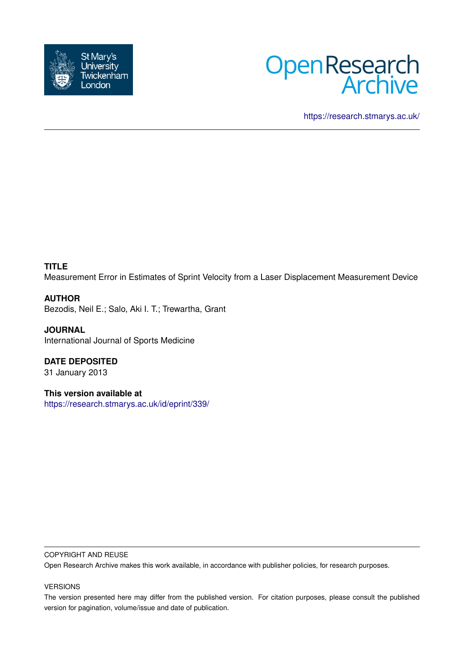



<https://research.stmarys.ac.uk/>

# **TITLE**

Measurement Error in Estimates of Sprint Velocity from a Laser Displacement Measurement Device

# **AUTHOR**

Bezodis, Neil E.; Salo, Aki I. T.; Trewartha, Grant

**JOURNAL** International Journal of Sports Medicine

**DATE DEPOSITED** 31 January 2013

**This version available at** <https://research.stmarys.ac.uk/id/eprint/339/>

#### COPYRIGHT AND REUSE

Open Research Archive makes this work available, in accordance with publisher policies, for research purposes.

### VERSIONS

The version presented here may differ from the published version. For citation purposes, please consult the published version for pagination, volume/issue and date of publication.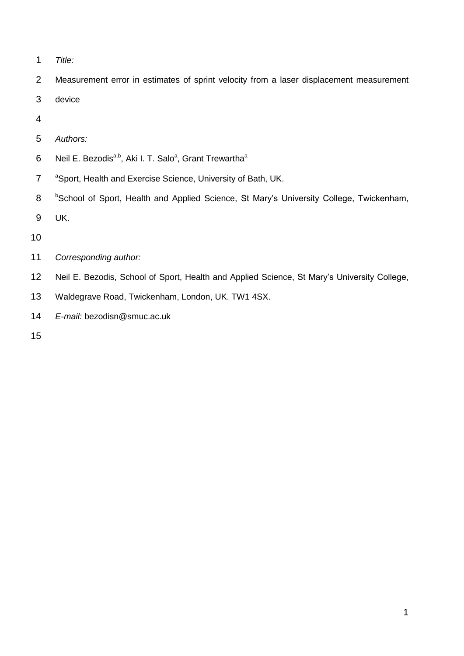*Title:*

Measurement error in estimates of sprint velocity from a laser displacement measurement

- device
- 
- *Authors:*
- Neil E. Bezodis<sup>a,b</sup>, Aki I. T. Salo<sup>a</sup>, Grant Trewartha<sup>a</sup>
- <sup>a</sup> Sport, Health and Exercise Science, University of Bath, UK.
- 8 <sup>b</sup>School of Sport, Health and Applied Science, St Mary's University College, Twickenham,
- UK.
- 
- *Corresponding author:*
- Neil E. Bezodis, School of Sport, Health and Applied Science, St Mary's University College,
- Waldegrave Road, Twickenham, London, UK. TW1 4SX.
- *E-mail:* bezodisn@smuc.ac.uk
-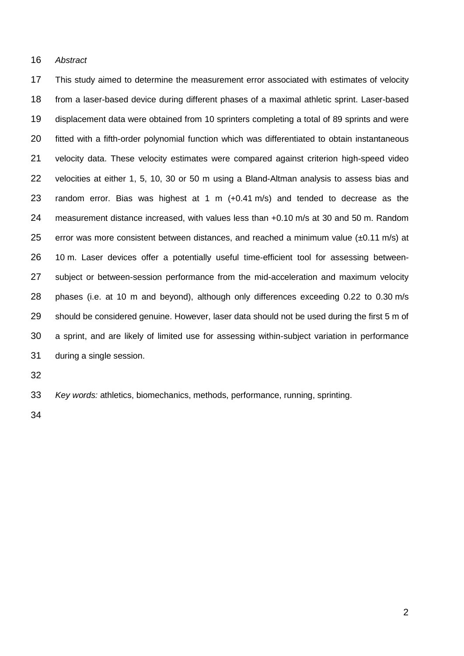### *Abstract*

 This study aimed to determine the measurement error associated with estimates of velocity from a laser-based device during different phases of a maximal athletic sprint. Laser-based displacement data were obtained from 10 sprinters completing a total of 89 sprints and were fitted with a fifth-order polynomial function which was differentiated to obtain instantaneous velocity data. These velocity estimates were compared against criterion high-speed video velocities at either 1, 5, 10, 30 or 50 m using a Bland-Altman analysis to assess bias and random error. Bias was highest at 1 m (+0.41 m/s) and tended to decrease as the measurement distance increased, with values less than +0.10 m/s at 30 and 50 m. Random 25 error was more consistent between distances, and reached a minimum value  $(\pm 0.11 \text{ m/s})$  at 10 m. Laser devices offer a potentially useful time-efficient tool for assessing between- subject or between-session performance from the mid-acceleration and maximum velocity phases (i.e. at 10 m and beyond), although only differences exceeding 0.22 to 0.30 m/s should be considered genuine. However, laser data should not be used during the first 5 m of a sprint, and are likely of limited use for assessing within-subject variation in performance during a single session.

*Key words:* athletics, biomechanics, methods, performance, running, sprinting.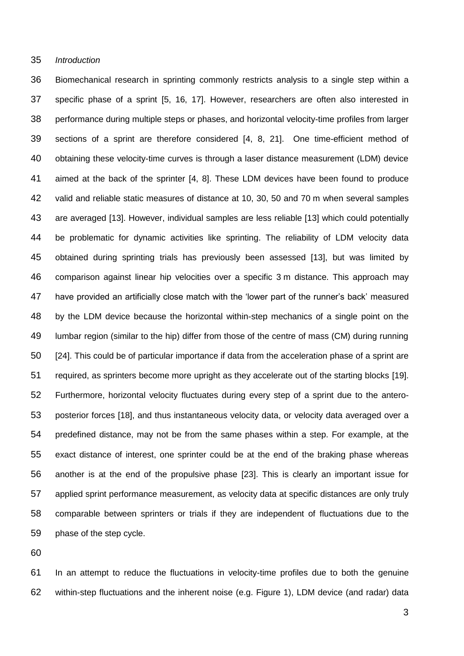### *Introduction*

 Biomechanical research in sprinting commonly restricts analysis to a single step within a specific phase of a sprint [5, 16, 17]. However, researchers are often also interested in performance during multiple steps or phases, and horizontal velocity-time profiles from larger sections of a sprint are therefore considered [4, 8, 21]. One time-efficient method of obtaining these velocity-time curves is through a laser distance measurement (LDM) device aimed at the back of the sprinter [4, 8]. These LDM devices have been found to produce valid and reliable static measures of distance at 10, 30, 50 and 70 m when several samples are averaged [13]. However, individual samples are less reliable [13] which could potentially be problematic for dynamic activities like sprinting. The reliability of LDM velocity data obtained during sprinting trials has previously been assessed [13], but was limited by comparison against linear hip velocities over a specific 3 m distance. This approach may have provided an artificially close match with the 'lower part of the runner's back' measured by the LDM device because the horizontal within-step mechanics of a single point on the lumbar region (similar to the hip) differ from those of the centre of mass (CM) during running [24]. This could be of particular importance if data from the acceleration phase of a sprint are required, as sprinters become more upright as they accelerate out of the starting blocks [19]. Furthermore, horizontal velocity fluctuates during every step of a sprint due to the antero- posterior forces [18], and thus instantaneous velocity data, or velocity data averaged over a predefined distance, may not be from the same phases within a step. For example, at the exact distance of interest, one sprinter could be at the end of the braking phase whereas another is at the end of the propulsive phase [23]. This is clearly an important issue for applied sprint performance measurement, as velocity data at specific distances are only truly comparable between sprinters or trials if they are independent of fluctuations due to the phase of the step cycle.

 In an attempt to reduce the fluctuations in velocity-time profiles due to both the genuine within-step fluctuations and the inherent noise (e.g. Figure 1), LDM device (and radar) data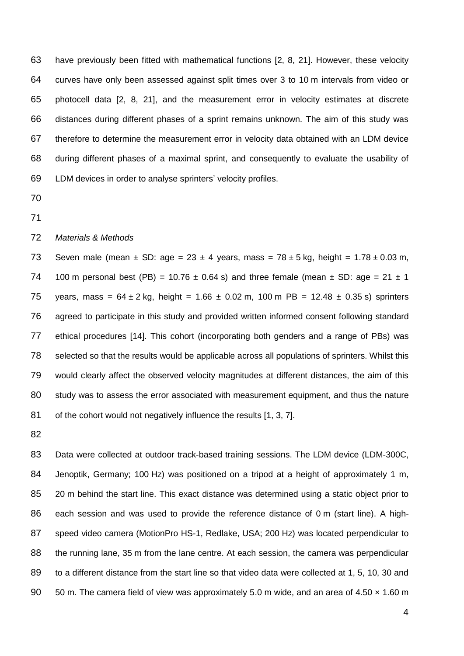have previously been fitted with mathematical functions [2, 8, 21]. However, these velocity curves have only been assessed against split times over 3 to 10 m intervals from video or photocell data [2, 8, 21], and the measurement error in velocity estimates at discrete distances during different phases of a sprint remains unknown. The aim of this study was therefore to determine the measurement error in velocity data obtained with an LDM device during different phases of a maximal sprint, and consequently to evaluate the usability of LDM devices in order to analyse sprinters' velocity profiles.

- 
- 

### *Materials & Methods*

73 Seven male (mean  $\pm$  SD: age = 23  $\pm$  4 years, mass = 78  $\pm$  5 kg, height = 1.78  $\pm$  0.03 m, 74 100 m personal best (PB) = 10.76  $\pm$  0.64 s) and three female (mean  $\pm$  SD: age = 21  $\pm$  1 75 years, mass =  $64 \pm 2$  kg, height =  $1.66 \pm 0.02$  m,  $100$  m PB =  $12.48 \pm 0.35$  s) sprinters agreed to participate in this study and provided written informed consent following standard ethical procedures [14]. This cohort (incorporating both genders and a range of PBs) was selected so that the results would be applicable across all populations of sprinters. Whilst this would clearly affect the observed velocity magnitudes at different distances, the aim of this study was to assess the error associated with measurement equipment, and thus the nature 81 of the cohort would not negatively influence the results [1, 3, 7].

 Data were collected at outdoor track-based training sessions. The LDM device (LDM-300C, Jenoptik, Germany; 100 Hz) was positioned on a tripod at a height of approximately 1 m, 20 m behind the start line. This exact distance was determined using a static object prior to each session and was used to provide the reference distance of 0 m (start line). A high- speed video camera (MotionPro HS-1, Redlake, USA; 200 Hz) was located perpendicular to the running lane, 35 m from the lane centre. At each session, the camera was perpendicular to a different distance from the start line so that video data were collected at 1, 5, 10, 30 and 90 50 m. The camera field of view was approximately 5.0 m wide, and an area of 4.50 x 1.60 m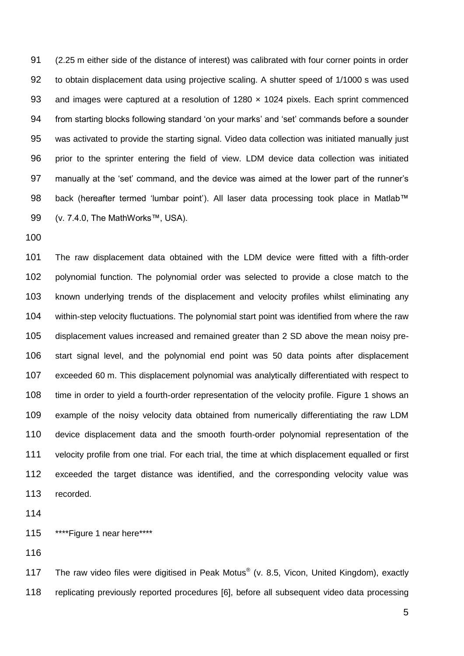(2.25 m either side of the distance of interest) was calibrated with four corner points in order to obtain displacement data using projective scaling. A shutter speed of 1/1000 s was used 93 and images were captured at a resolution of 1280 x 1024 pixels. Each sprint commenced from starting blocks following standard 'on your marks' and 'set' commands before a sounder was activated to provide the starting signal. Video data collection was initiated manually just prior to the sprinter entering the field of view. LDM device data collection was initiated manually at the 'set' command, and the device was aimed at the lower part of the runner's 98 back (hereafter termed 'lumbar point'). All laser data processing took place in Matlab™ (v. 7.4.0, The MathWorks™, USA).

 The raw displacement data obtained with the LDM device were fitted with a fifth-order polynomial function. The polynomial order was selected to provide a close match to the known underlying trends of the displacement and velocity profiles whilst eliminating any within-step velocity fluctuations. The polynomial start point was identified from where the raw displacement values increased and remained greater than 2 SD above the mean noisy pre- start signal level, and the polynomial end point was 50 data points after displacement exceeded 60 m. This displacement polynomial was analytically differentiated with respect to time in order to yield a fourth-order representation of the velocity profile. Figure 1 shows an example of the noisy velocity data obtained from numerically differentiating the raw LDM device displacement data and the smooth fourth-order polynomial representation of the velocity profile from one trial. For each trial, the time at which displacement equalled or first exceeded the target distance was identified, and the corresponding velocity value was recorded.

115 \*\*\*\*\* Figure 1 near here\*\*\*\*

117 The raw video files were digitised in Peak Motus® (v. 8.5, Vicon, United Kingdom), exactly replicating previously reported procedures [6], before all subsequent video data processing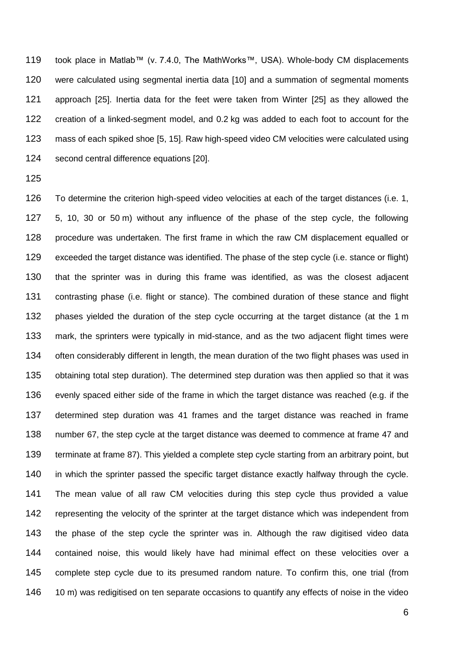took place in Matlab™ (v. 7.4.0, The MathWorks™, USA). Whole-body CM displacements were calculated using segmental inertia data [10] and a summation of segmental moments approach [25]. Inertia data for the feet were taken from Winter [25] as they allowed the creation of a linked-segment model, and 0.2 kg was added to each foot to account for the mass of each spiked shoe [5, 15]. Raw high-speed video CM velocities were calculated using second central difference equations [20].

 To determine the criterion high-speed video velocities at each of the target distances (i.e. 1, 5, 10, 30 or 50 m) without any influence of the phase of the step cycle, the following procedure was undertaken. The first frame in which the raw CM displacement equalled or exceeded the target distance was identified. The phase of the step cycle (i.e. stance or flight) that the sprinter was in during this frame was identified, as was the closest adjacent contrasting phase (i.e. flight or stance). The combined duration of these stance and flight phases yielded the duration of the step cycle occurring at the target distance (at the 1 m mark, the sprinters were typically in mid-stance, and as the two adjacent flight times were 134 often considerably different in length, the mean duration of the two flight phases was used in obtaining total step duration). The determined step duration was then applied so that it was evenly spaced either side of the frame in which the target distance was reached (e.g. if the determined step duration was 41 frames and the target distance was reached in frame number 67, the step cycle at the target distance was deemed to commence at frame 47 and terminate at frame 87). This yielded a complete step cycle starting from an arbitrary point, but in which the sprinter passed the specific target distance exactly halfway through the cycle. The mean value of all raw CM velocities during this step cycle thus provided a value representing the velocity of the sprinter at the target distance which was independent from the phase of the step cycle the sprinter was in. Although the raw digitised video data contained noise, this would likely have had minimal effect on these velocities over a complete step cycle due to its presumed random nature. To confirm this, one trial (from 146 10 m) was redigitised on ten separate occasions to quantify any effects of noise in the video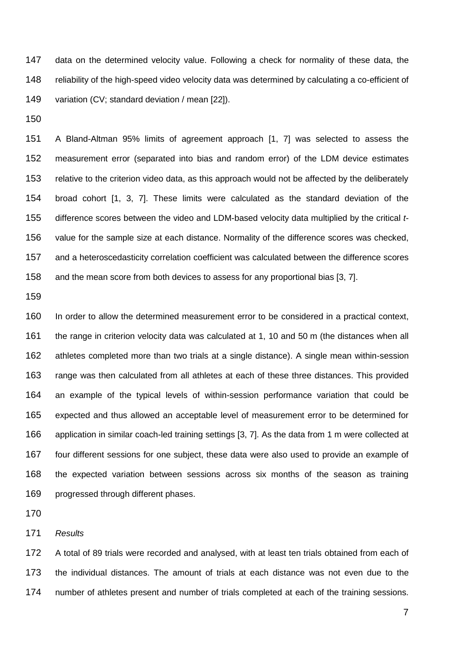data on the determined velocity value. Following a check for normality of these data, the reliability of the high-speed video velocity data was determined by calculating a co-efficient of variation (CV; standard deviation / mean [22]).

 A Bland-Altman 95% limits of agreement approach [1, 7] was selected to assess the measurement error (separated into bias and random error) of the LDM device estimates relative to the criterion video data, as this approach would not be affected by the deliberately broad cohort [1, 3, 7]. These limits were calculated as the standard deviation of the difference scores between the video and LDM-based velocity data multiplied by the critical *t*- value for the sample size at each distance. Normality of the difference scores was checked, and a heteroscedasticity correlation coefficient was calculated between the difference scores and the mean score from both devices to assess for any proportional bias [3, 7].

 In order to allow the determined measurement error to be considered in a practical context, the range in criterion velocity data was calculated at 1, 10 and 50 m (the distances when all athletes completed more than two trials at a single distance). A single mean within-session range was then calculated from all athletes at each of these three distances. This provided an example of the typical levels of within-session performance variation that could be expected and thus allowed an acceptable level of measurement error to be determined for application in similar coach-led training settings [3, 7]. As the data from 1 m were collected at four different sessions for one subject, these data were also used to provide an example of the expected variation between sessions across six months of the season as training progressed through different phases.

*Results*

 A total of 89 trials were recorded and analysed, with at least ten trials obtained from each of the individual distances. The amount of trials at each distance was not even due to the number of athletes present and number of trials completed at each of the training sessions.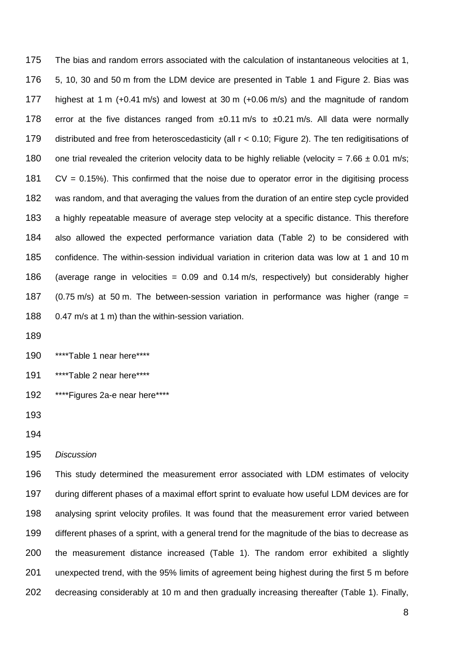The bias and random errors associated with the calculation of instantaneous velocities at 1, 5, 10, 30 and 50 m from the LDM device are presented in Table 1 and Figure 2. Bias was highest at 1 m (+0.41 m/s) and lowest at 30 m (+0.06 m/s) and the magnitude of random 178 error at the five distances ranged from  $\pm 0.11$  m/s to  $\pm 0.21$  m/s. All data were normally distributed and free from heteroscedasticity (all r < 0.10; Figure 2). The ten redigitisations of 180 one trial revealed the criterion velocity data to be highly reliable (velocity = 7.66  $\pm$  0.01 m/s; CV = 0.15%). This confirmed that the noise due to operator error in the digitising process was random, and that averaging the values from the duration of an entire step cycle provided a highly repeatable measure of average step velocity at a specific distance. This therefore also allowed the expected performance variation data (Table 2) to be considered with confidence. The within-session individual variation in criterion data was low at 1 and 10 m 186 (average range in velocities =  $0.09$  and  $0.14$  m/s, respectively) but considerably higher 187 (0.75 m/s) at 50 m. The between-session variation in performance was higher (range  $=$ 0.47 m/s at 1 m) than the within-session variation.

\*\*\*\*Table 1 near here\*\*\*\*

191 \*\*\*\*\*Table 2 near here\*\*\*\*

\*\*\*\*Figures 2a-e near here\*\*\*\*

*Discussion*

 This study determined the measurement error associated with LDM estimates of velocity during different phases of a maximal effort sprint to evaluate how useful LDM devices are for analysing sprint velocity profiles. It was found that the measurement error varied between different phases of a sprint, with a general trend for the magnitude of the bias to decrease as the measurement distance increased (Table 1). The random error exhibited a slightly unexpected trend, with the 95% limits of agreement being highest during the first 5 m before decreasing considerably at 10 m and then gradually increasing thereafter (Table 1). Finally,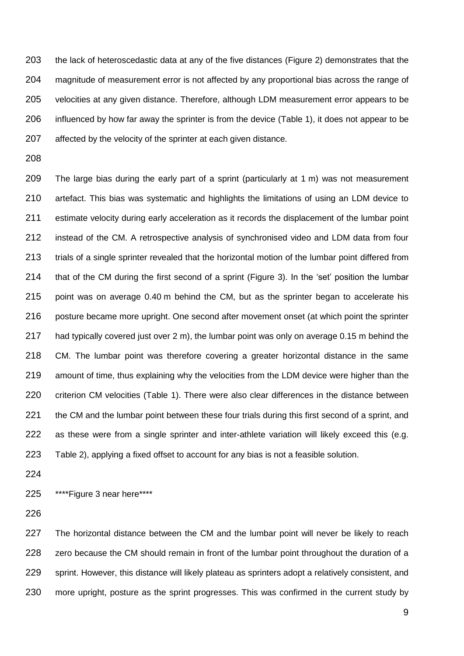the lack of heteroscedastic data at any of the five distances (Figure 2) demonstrates that the magnitude of measurement error is not affected by any proportional bias across the range of velocities at any given distance. Therefore, although LDM measurement error appears to be influenced by how far away the sprinter is from the device (Table 1), it does not appear to be affected by the velocity of the sprinter at each given distance.

 The large bias during the early part of a sprint (particularly at 1 m) was not measurement artefact. This bias was systematic and highlights the limitations of using an LDM device to estimate velocity during early acceleration as it records the displacement of the lumbar point instead of the CM. A retrospective analysis of synchronised video and LDM data from four 213 trials of a single sprinter revealed that the horizontal motion of the lumbar point differed from that of the CM during the first second of a sprint (Figure 3). In the 'set' position the lumbar point was on average 0.40 m behind the CM, but as the sprinter began to accelerate his 216 posture became more upright. One second after movement onset (at which point the sprinter had typically covered just over 2 m), the lumbar point was only on average 0.15 m behind the CM. The lumbar point was therefore covering a greater horizontal distance in the same amount of time, thus explaining why the velocities from the LDM device were higher than the criterion CM velocities (Table 1). There were also clear differences in the distance between 221 the CM and the lumbar point between these four trials during this first second of a sprint, and 222 as these were from a single sprinter and inter-athlete variation will likely exceed this (e.g. Table 2), applying a fixed offset to account for any bias is not a feasible solution.

\*\*\*\*Figure 3 near here\*\*\*\*

227 The horizontal distance between the CM and the lumbar point will never be likely to reach 228 zero because the CM should remain in front of the lumbar point throughout the duration of a sprint. However, this distance will likely plateau as sprinters adopt a relatively consistent, and more upright, posture as the sprint progresses. This was confirmed in the current study by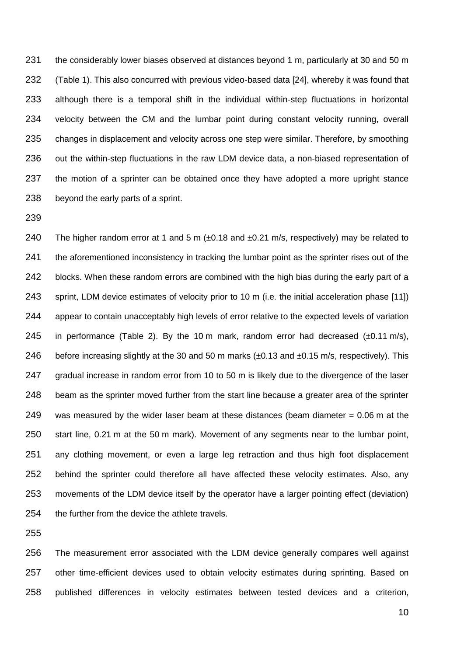the considerably lower biases observed at distances beyond 1 m, particularly at 30 and 50 m (Table 1). This also concurred with previous video-based data [24], whereby it was found that although there is a temporal shift in the individual within-step fluctuations in horizontal velocity between the CM and the lumbar point during constant velocity running, overall 235 changes in displacement and velocity across one step were similar. Therefore, by smoothing out the within-step fluctuations in the raw LDM device data, a non-biased representation of 237 the motion of a sprinter can be obtained once they have adopted a more upright stance beyond the early parts of a sprint.

240 The higher random error at 1 and 5 m  $(\pm 0.18$  and  $\pm 0.21$  m/s, respectively) may be related to 241 the aforementioned inconsistency in tracking the lumbar point as the sprinter rises out of the 242 blocks. When these random errors are combined with the high bias during the early part of a sprint, LDM device estimates of velocity prior to 10 m (i.e. the initial acceleration phase [11]) appear to contain unacceptably high levels of error relative to the expected levels of variation 245 in performance (Table 2). By the 10 m mark, random error had decreased  $(\pm 0.11 \text{ m/s})$ , 246 before increasing slightly at the 30 and 50 m marks (±0.13 and ±0.15 m/s, respectively). This gradual increase in random error from 10 to 50 m is likely due to the divergence of the laser beam as the sprinter moved further from the start line because a greater area of the sprinter 249 was measured by the wider laser beam at these distances (beam diameter  $= 0.06$  m at the start line, 0.21 m at the 50 m mark). Movement of any segments near to the lumbar point, any clothing movement, or even a large leg retraction and thus high foot displacement behind the sprinter could therefore all have affected these velocity estimates. Also, any movements of the LDM device itself by the operator have a larger pointing effect (deviation) the further from the device the athlete travels.

 The measurement error associated with the LDM device generally compares well against other time-efficient devices used to obtain velocity estimates during sprinting. Based on published differences in velocity estimates between tested devices and a criterion,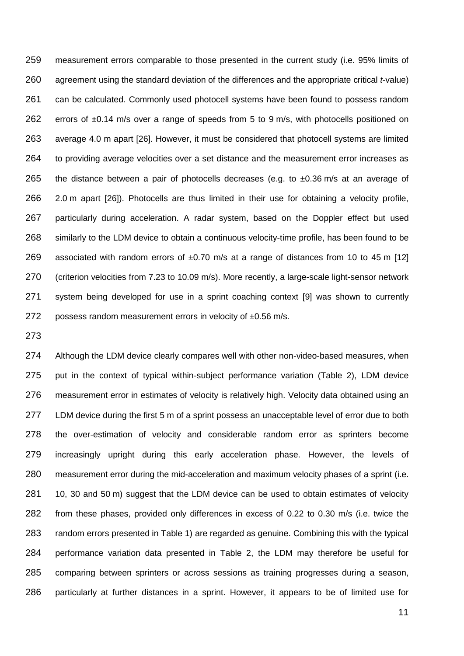measurement errors comparable to those presented in the current study (i.e. 95% limits of agreement using the standard deviation of the differences and the appropriate critical *t*-value) can be calculated. Commonly used photocell systems have been found to possess random 262 errors of ±0.14 m/s over a range of speeds from 5 to 9 m/s, with photocells positioned on average 4.0 m apart [26]. However, it must be considered that photocell systems are limited 264 to providing average velocities over a set distance and the measurement error increases as 265 the distance between a pair of photocells decreases (e.g. to  $\pm 0.36$  m/s at an average of 2.0 m apart [26]). Photocells are thus limited in their use for obtaining a velocity profile, particularly during acceleration. A radar system, based on the Doppler effect but used similarly to the LDM device to obtain a continuous velocity-time profile, has been found to be 269 associated with random errors of  $\pm$ 0.70 m/s at a range of distances from 10 to 45 m [12] (criterion velocities from 7.23 to 10.09 m/s). More recently, a large-scale light-sensor network system being developed for use in a sprint coaching context [9] was shown to currently 272 possess random measurement errors in velocity of  $\pm 0.56$  m/s.

 Although the LDM device clearly compares well with other non-video-based measures, when put in the context of typical within-subject performance variation (Table 2), LDM device measurement error in estimates of velocity is relatively high. Velocity data obtained using an LDM device during the first 5 m of a sprint possess an unacceptable level of error due to both the over-estimation of velocity and considerable random error as sprinters become increasingly upright during this early acceleration phase. However, the levels of measurement error during the mid-acceleration and maximum velocity phases of a sprint (i.e. 281 10, 30 and 50 m) suggest that the LDM device can be used to obtain estimates of velocity from these phases, provided only differences in excess of 0.22 to 0.30 m/s (i.e. twice the random errors presented in Table 1) are regarded as genuine. Combining this with the typical performance variation data presented in Table 2, the LDM may therefore be useful for comparing between sprinters or across sessions as training progresses during a season, particularly at further distances in a sprint. However, it appears to be of limited use for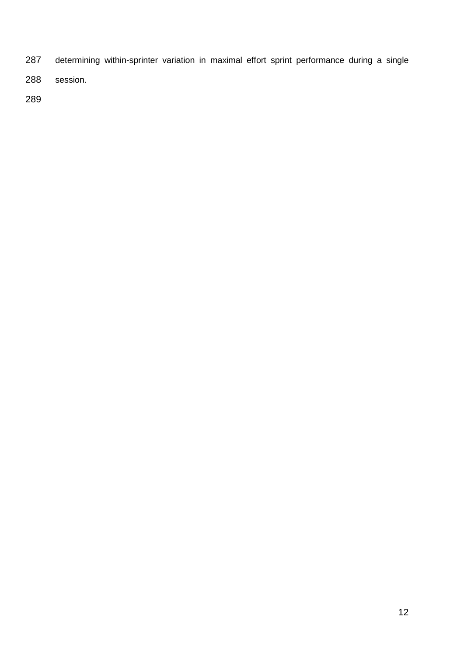- determining within-sprinter variation in maximal effort sprint performance during a single
- session.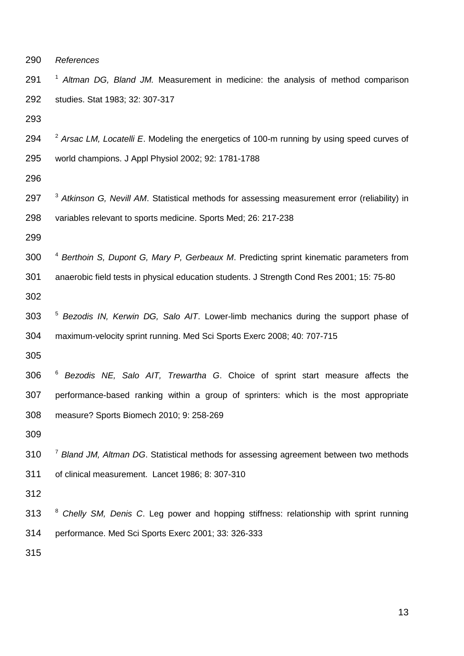*References*

291 <sup>1</sup> Altman DG, Bland JM. Measurement in medicine: the analysis of method comparison studies. Stat 1983; 32: 307-317

2 *Arsac LM, Locatelli E*. Modeling the energetics of 100-m running by using speed curves of world champions. J Appl Physiol 2002; 92: 1781-1788

297 <sup>3</sup> Atkinson G, Nevill AM. Statistical methods for assessing measurement error (reliability) in variables relevant to sports medicine. Sports Med; 26: 217-238

300 <sup>4</sup> Berthoin S, Dupont G, Mary P, Gerbeaux M. Predicting sprint kinematic parameters from anaerobic field tests in physical education students. J Strength Cond Res 2001; 15: 75-80

5 *Bezodis IN, Kerwin DG, Salo AIT*. Lower-limb mechanics during the support phase of maximum-velocity sprint running. Med Sci Sports Exerc 2008; 40: 707-715

6 *Bezodis NE, Salo AIT, Trewartha G*. Choice of sprint start measure affects the performance-based ranking within a group of sprinters: which is the most appropriate measure? Sports Biomech 2010; 9: 258-269

310 <sup>7</sup> Bland JM, Altman DG. Statistical methods for assessing agreement between two methods of clinical measurement. Lancet 1986; 8: 307-310

8 *Chelly SM, Denis C*. Leg power and hopping stiffness: relationship with sprint running performance. Med Sci Sports Exerc 2001; 33: 326-333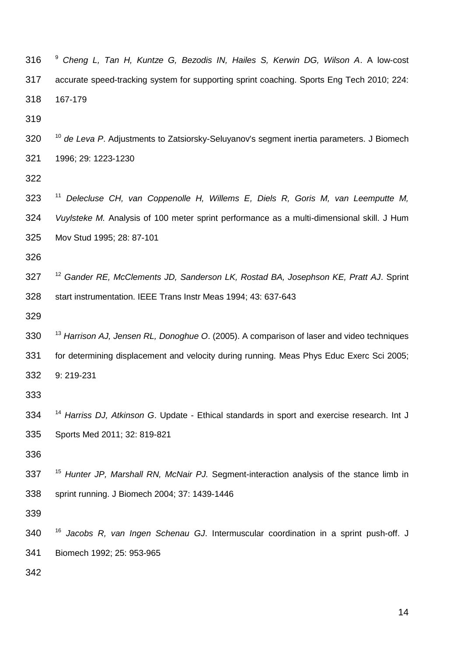9 *Cheng L, Tan H, Kuntze G, Bezodis IN, Hailes S, Kerwin DG, Wilson A*. A low-cost accurate speed-tracking system for supporting sprint coaching. Sports Eng Tech 2010; 224: 167-179

<sup>10</sup> *de Leva P*. Adjustments to Zatsiorsky-Seluyanov's segment inertia parameters. J Biomech 1996; 29: 1223-1230

323 <sup>11</sup> Delecluse CH, van Coppenolle H, Willems E, Diels R, Goris M, van Leemputte M, *Vuylsteke M.* Analysis of 100 meter sprint performance as a multi-dimensional skill. J Hum Mov Stud 1995; 28: 87-101

<sup>12</sup> *Gander RE, McClements JD, Sanderson LK, Rostad BA, Josephson KE, Pratt AJ*. Sprint start instrumentation. IEEE Trans Instr Meas 1994; 43: 637-643

<sup>13</sup> *Harrison AJ, Jensen RL, Donoghue O*. (2005). A comparison of laser and video techniques for determining displacement and velocity during running. Meas Phys Educ Exerc Sci 2005; 9: 219-231

<sup>14</sup> *Harriss DJ, Atkinson G*. Update - Ethical standards in sport and exercise research. Int J Sports Med 2011; 32: 819-821

<sup>15</sup> *Hunter JP, Marshall RN, McNair PJ.* Segment-interaction analysis of the stance limb in sprint running. J Biomech 2004; 37: 1439-1446

<sup>16</sup> *Jacobs R, van Ingen Schenau GJ*. Intermuscular coordination in a sprint push-off. J Biomech 1992; 25: 953-965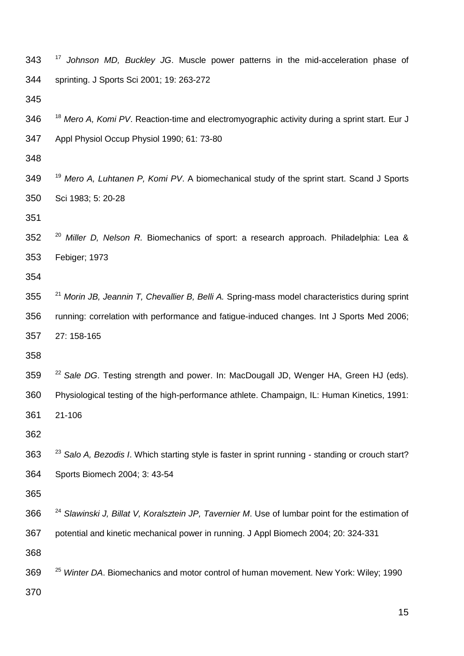| 343 | $\frac{1}{2}$<br>Johnson MD, Buckley JG. Muscle power patterns in the mid-acceleration phase of               |
|-----|---------------------------------------------------------------------------------------------------------------|
| 344 | sprinting. J Sports Sci 2001; 19: 263-272                                                                     |
| 345 |                                                                                                               |
| 346 | <sup>18</sup> Mero A, Komi PV. Reaction-time and electromyographic activity during a sprint start. Eur J      |
| 347 | Appl Physiol Occup Physiol 1990; 61: 73-80                                                                    |
| 348 |                                                                                                               |
| 349 | <sup>19</sup> Mero A, Luhtanen P, Komi PV. A biomechanical study of the sprint start. Scand J Sports          |
| 350 | Sci 1983; 5: 20-28                                                                                            |
| 351 |                                                                                                               |
| 352 | <sup>20</sup> Miller D, Nelson R. Biomechanics of sport: a research approach. Philadelphia: Lea &             |
| 353 | Febiger; 1973                                                                                                 |
| 354 |                                                                                                               |
| 355 | <sup>21</sup> Morin JB, Jeannin T, Chevallier B, Belli A. Spring-mass model characteristics during sprint     |
| 356 | running: correlation with performance and fatigue-induced changes. Int J Sports Med 2006;                     |
| 357 | 27: 158-165                                                                                                   |
| 358 |                                                                                                               |
| 359 | <sup>22</sup> Sale DG. Testing strength and power. In: MacDougall JD, Wenger HA, Green HJ (eds).              |
| 360 | Physiological testing of the high-performance athlete. Champaign, IL: Human Kinetics, 1991:                   |
| 361 | 21-106                                                                                                        |
| 362 |                                                                                                               |
| 363 | <sup>23</sup> Salo A, Bezodis I. Which starting style is faster in sprint running - standing or crouch start? |
| 364 | Sports Biomech 2004; 3: 43-54                                                                                 |
| 365 |                                                                                                               |
| 366 | <sup>24</sup> Slawinski J, Billat V, Koralsztein JP, Tavernier M. Use of lumbar point for the estimation of   |
| 367 | potential and kinetic mechanical power in running. J Appl Biomech 2004; 20: 324-331                           |
| 368 |                                                                                                               |
| 369 | <sup>25</sup> Winter DA. Biomechanics and motor control of human movement. New York: Wiley; 1990              |
| 370 |                                                                                                               |
|     | 15                                                                                                            |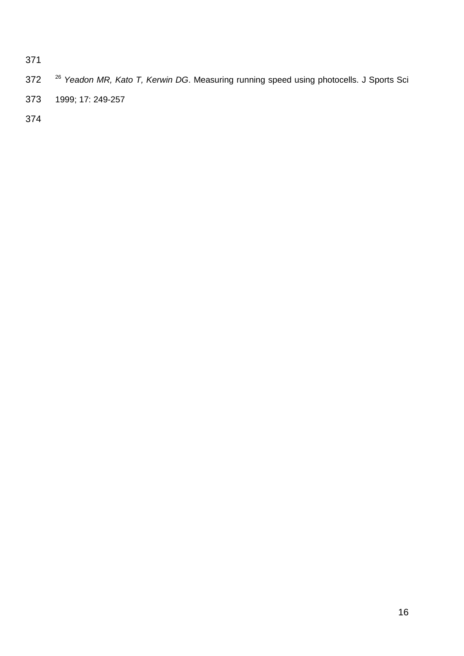- 372 <sup>26</sup> Yeadon MR, Kato T, Kerwin DG. Measuring running speed using photocells. J Sports Sci
- 1999; 17: 249-257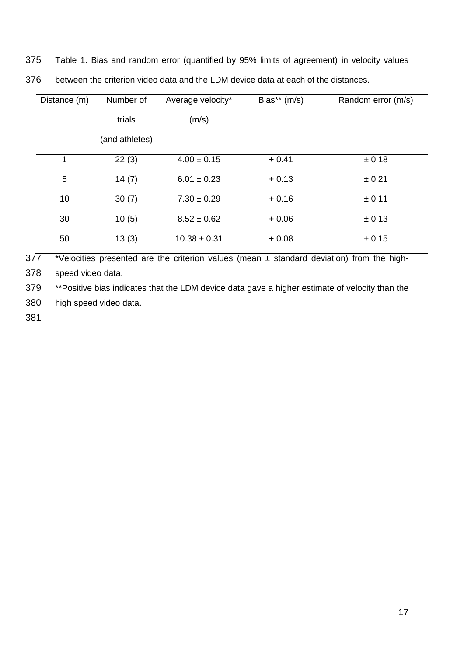| 375 |  |  |  |  |  |  |  |  |  |  | Table 1. Bias and random error (quantified by 95% limits of agreement) in velocity values |
|-----|--|--|--|--|--|--|--|--|--|--|-------------------------------------------------------------------------------------------|
|-----|--|--|--|--|--|--|--|--|--|--|-------------------------------------------------------------------------------------------|

| Distance (m) |    | Number of      | Average velocity* | Bias** (m/s) | Random error (m/s) |
|--------------|----|----------------|-------------------|--------------|--------------------|
|              |    | trials         | (m/s)             |              |                    |
|              |    | (and athletes) |                   |              |                    |
|              | 1  | 22(3)          | $4.00 \pm 0.15$   | $+0.41$      | ± 0.18             |
|              | 5  | 14(7)          | $6.01 \pm 0.23$   | $+0.13$      | ± 0.21             |
|              | 10 | 30(7)          | $7.30 \pm 0.29$   | $+0.16$      | ± 0.11             |
|              | 30 | 10(5)          | $8.52 \pm 0.62$   | $+0.06$      | ± 0.13             |
|              | 50 | 13(3)          | $10.38 \pm 0.31$  | $+0.08$      | ± 0.15             |
|              |    |                |                   |              |                    |

between the criterion video data and the LDM device data at each of the distances.

377 \*Velocities presented are the criterion values (mean ± standard deviation) from the high-

speed video data.

\*\*Positive bias indicates that the LDM device data gave a higher estimate of velocity than the

high speed video data.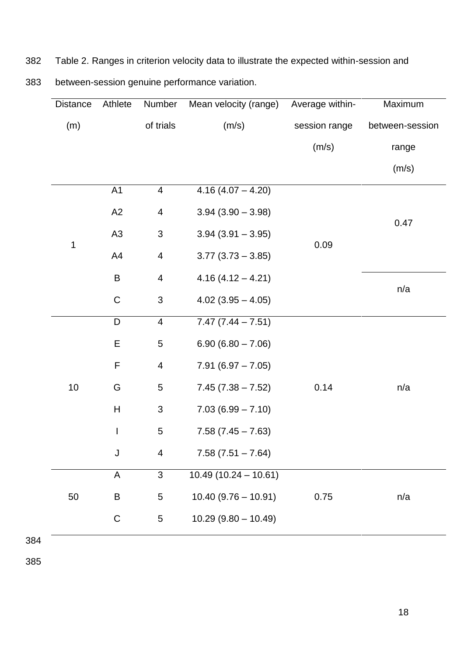| 382 | Table 2. Ranges in criterion velocity data to illustrate the expected within-session and |  |  |  |  |  |
|-----|------------------------------------------------------------------------------------------|--|--|--|--|--|
|     |                                                                                          |  |  |  |  |  |

383 between-session genuine performance variation.

| Athlete<br><b>Distance</b> |                | Number                    | Mean velocity (range)  | Average within- | Maximum         |  |
|----------------------------|----------------|---------------------------|------------------------|-----------------|-----------------|--|
| (m)                        |                | of trials                 | (m/s)                  | session range   | between-session |  |
|                            |                |                           |                        | (m/s)           | range           |  |
|                            |                |                           |                        |                 | (m/s)           |  |
|                            | A1             | $\overline{\mathbf{4}}$   | $4.16(4.07 - 4.20)$    |                 |                 |  |
|                            | A2             | 4                         | $3.94(3.90 - 3.98)$    |                 | 0.47            |  |
|                            | A <sub>3</sub> | $\ensuremath{\mathsf{3}}$ | $3.94(3.91 - 3.95)$    |                 |                 |  |
| 1                          | A4             | $\overline{\mathbf{4}}$   | $3.77$ $(3.73 - 3.85)$ | 0.09            |                 |  |
|                            | $\sf B$        | $\overline{4}$            | $4.16(4.12 - 4.21)$    |                 |                 |  |
|                            | $\mathsf C$    | 3                         | $4.02$ (3.95 - 4.05)   |                 | n/a             |  |
|                            | D              | $\overline{4}$            | $7.47(7.44 - 7.51)$    |                 |                 |  |
|                            | E              | 5                         | $6.90(6.80 - 7.06)$    |                 |                 |  |
|                            | $\mathsf F$    | $\overline{\mathbf{4}}$   | $7.91(6.97 - 7.05)$    |                 |                 |  |
| 10                         | G              | 5                         | $7.45(7.38 - 7.52)$    | 0.14            | n/a             |  |
|                            | H              | $\mathfrak{S}$            | $7.03(6.99 - 7.10)$    |                 |                 |  |
|                            | $\mathsf I$    | $\sqrt{5}$                | $7.58(7.45 - 7.63)$    |                 |                 |  |
|                            | J              | 4                         | $7.58(7.51 - 7.64)$    |                 |                 |  |
|                            | A              | 3                         | $10.49(10.24 - 10.61)$ |                 |                 |  |
| 50                         | B              | 5                         | $10.40(9.76 - 10.91)$  | 0.75            | n/a             |  |
|                            | C              | 5                         | $10.29(9.80 - 10.49)$  |                 |                 |  |
|                            |                |                           |                        |                 |                 |  |

384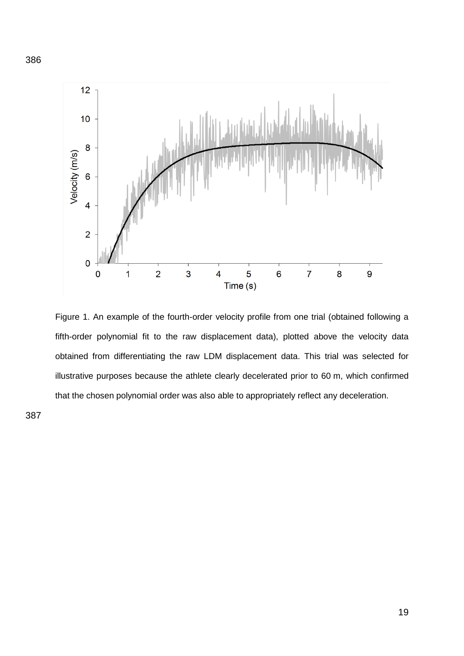

Figure 1. An example of the fourth-order velocity profile from one trial (obtained following a fifth-order polynomial fit to the raw displacement data), plotted above the velocity data obtained from differentiating the raw LDM displacement data. This trial was selected for illustrative purposes because the athlete clearly decelerated prior to 60 m, which confirmed that the chosen polynomial order was also able to appropriately reflect any deceleration.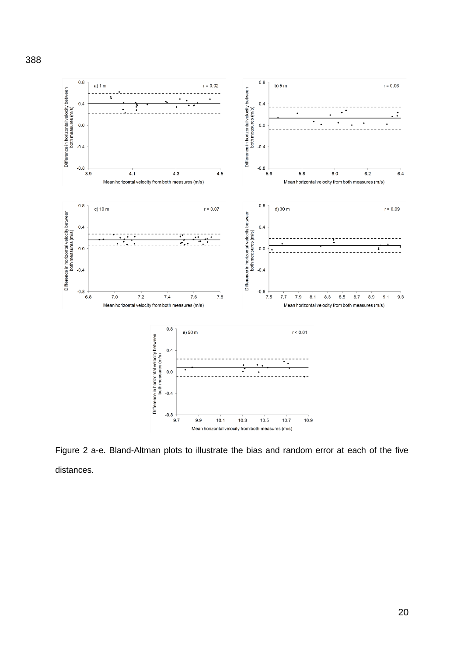

Figure 2 a-e. Bland-Altman plots to illustrate the bias and random error at each of the five distances.